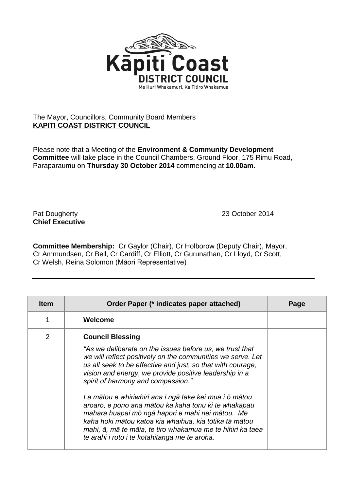

## The Mayor, Councillors, Community Board Members **KAPITI COAST DISTRICT COUNCIL**

Please note that a Meeting of the **Environment & Community Development Committee** will take place in the Council Chambers, Ground Floor, 175 Rimu Road, Paraparaumu on **Thursday 30 October 2014** commencing at **10.00am**.

Pat Dougherty 23 October 2014 **Chief Executive**

**Committee Membership:** Cr Gaylor (Chair), Cr Holborow (Deputy Chair), Mayor, Cr Ammundsen, Cr Bell, Cr Cardiff, Cr Elliott, Cr Gurunathan, Cr Lloyd, Cr Scott, Cr Welsh, Reina Solomon (Māori Representative)

| <b>Item</b>    | Order Paper (* indicates paper attached)                                                                                                                                                                                                                                                                                                                                                                                                                                                                                                                                                                                                                          | Page |
|----------------|-------------------------------------------------------------------------------------------------------------------------------------------------------------------------------------------------------------------------------------------------------------------------------------------------------------------------------------------------------------------------------------------------------------------------------------------------------------------------------------------------------------------------------------------------------------------------------------------------------------------------------------------------------------------|------|
|                | Welcome                                                                                                                                                                                                                                                                                                                                                                                                                                                                                                                                                                                                                                                           |      |
| $\overline{2}$ | <b>Council Blessing</b><br>"As we deliberate on the issues before us, we trust that<br>we will reflect positively on the communities we serve. Let<br>us all seek to be effective and just, so that with courage,<br>vision and energy, we provide positive leadership in a<br>spirit of harmony and compassion."<br>I a mātou e whiriwhiri ana i ngā take kei mua i ō mātou<br>aroaro, e pono ana mātou ka kaha tonu ki te whakapau<br>mahara huapai mō ngā hapori e mahi nei mātou. Me<br>kaha hoki mātou katoa kia whaihua, kia tōtika tā mātou<br>mahi, ā, mā te māia, te tiro whakamua me te hihiri ka taea<br>te arahi i roto i te kotahitanga me te aroha. |      |